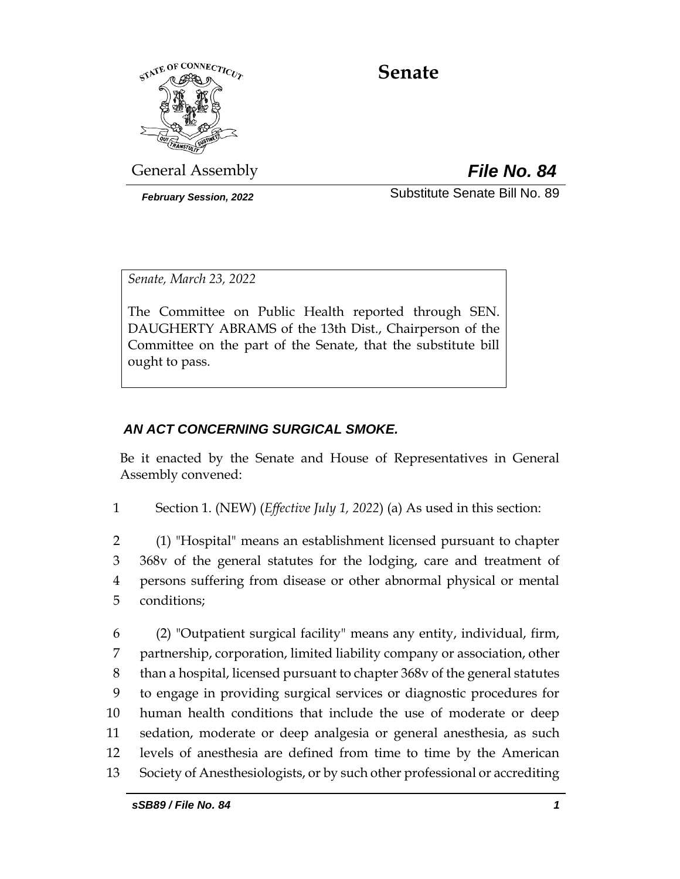

# **Senate**

General Assembly *File No. 84*

*February Session, 2022* Substitute Senate Bill No. 89

*Senate, March 23, 2022*

The Committee on Public Health reported through SEN. DAUGHERTY ABRAMS of the 13th Dist., Chairperson of the Committee on the part of the Senate, that the substitute bill ought to pass.

## *AN ACT CONCERNING SURGICAL SMOKE.*

Be it enacted by the Senate and House of Representatives in General Assembly convened:

1 Section 1. (NEW) (*Effective July 1, 2022*) (a) As used in this section:

 (1) "Hospital" means an establishment licensed pursuant to chapter 368v of the general statutes for the lodging, care and treatment of persons suffering from disease or other abnormal physical or mental conditions;

 (2) "Outpatient surgical facility" means any entity, individual, firm, partnership, corporation, limited liability company or association, other than a hospital, licensed pursuant to chapter 368v of the general statutes to engage in providing surgical services or diagnostic procedures for human health conditions that include the use of moderate or deep sedation, moderate or deep analgesia or general anesthesia, as such levels of anesthesia are defined from time to time by the American Society of Anesthesiologists, or by such other professional or accrediting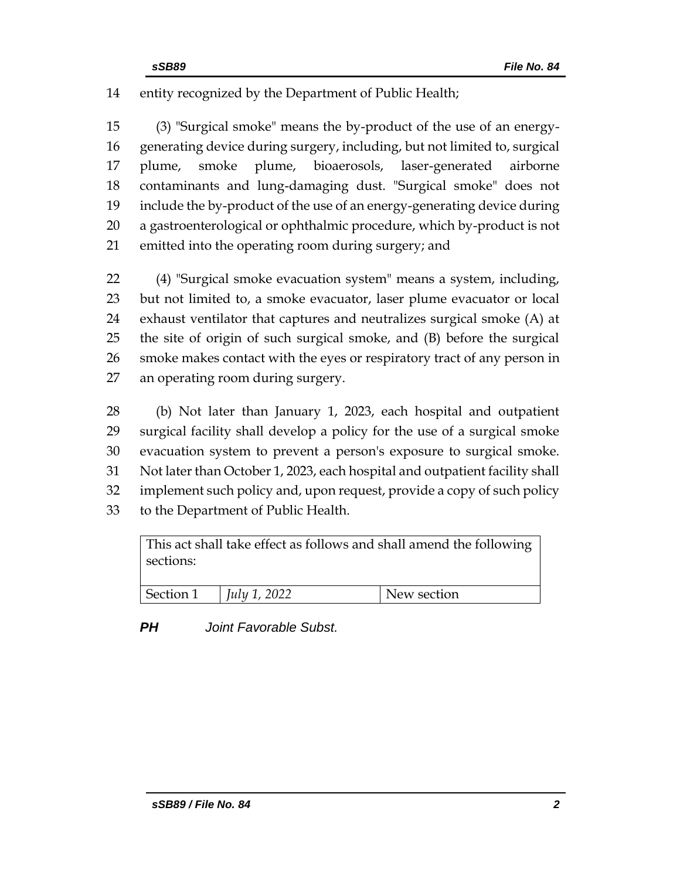entity recognized by the Department of Public Health;

 (3) "Surgical smoke" means the by-product of the use of an energy- generating device during surgery, including, but not limited to, surgical plume, smoke plume, bioaerosols, laser-generated airborne contaminants and lung-damaging dust. "Surgical smoke" does not include the by-product of the use of an energy-generating device during a gastroenterological or ophthalmic procedure, which by-product is not emitted into the operating room during surgery; and

 (4) "Surgical smoke evacuation system" means a system, including, but not limited to, a smoke evacuator, laser plume evacuator or local exhaust ventilator that captures and neutralizes surgical smoke (A) at the site of origin of such surgical smoke, and (B) before the surgical smoke makes contact with the eyes or respiratory tract of any person in an operating room during surgery.

 (b) Not later than January 1, 2023, each hospital and outpatient surgical facility shall develop a policy for the use of a surgical smoke evacuation system to prevent a person's exposure to surgical smoke. Not later than October 1, 2023, each hospital and outpatient facility shall implement such policy and, upon request, provide a copy of such policy to the Department of Public Health.

| This act shall take effect as follows and shall amend the following<br>sections: |                     |             |
|----------------------------------------------------------------------------------|---------------------|-------------|
| Section 1                                                                        | <i>July 1, 2022</i> | New section |

*PH Joint Favorable Subst.*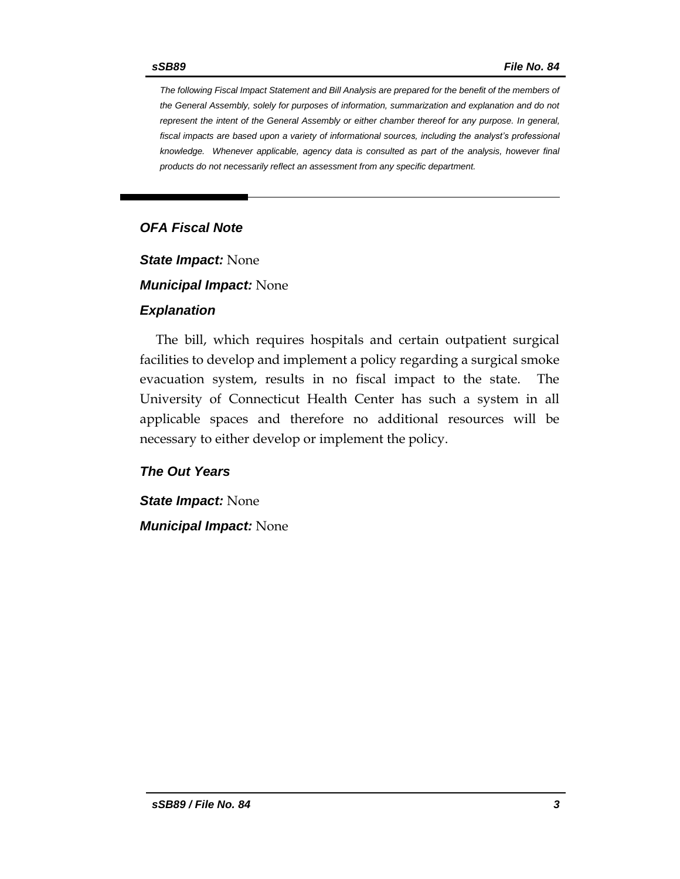*The following Fiscal Impact Statement and Bill Analysis are prepared for the benefit of the members of the General Assembly, solely for purposes of information, summarization and explanation and do not represent the intent of the General Assembly or either chamber thereof for any purpose. In general,*  fiscal impacts are based upon a variety of informational sources, including the analyst's professional *knowledge. Whenever applicable, agency data is consulted as part of the analysis, however final products do not necessarily reflect an assessment from any specific department.*

## *OFA Fiscal Note*

*State Impact:* None

*Municipal Impact:* None

#### *Explanation*

The bill, which requires hospitals and certain outpatient surgical facilities to develop and implement a policy regarding a surgical smoke evacuation system, results in no fiscal impact to the state. The University of Connecticut Health Center has such a system in all applicable spaces and therefore no additional resources will be necessary to either develop or implement the policy.

#### *The Out Years*

*State Impact:* None *Municipal Impact:* None